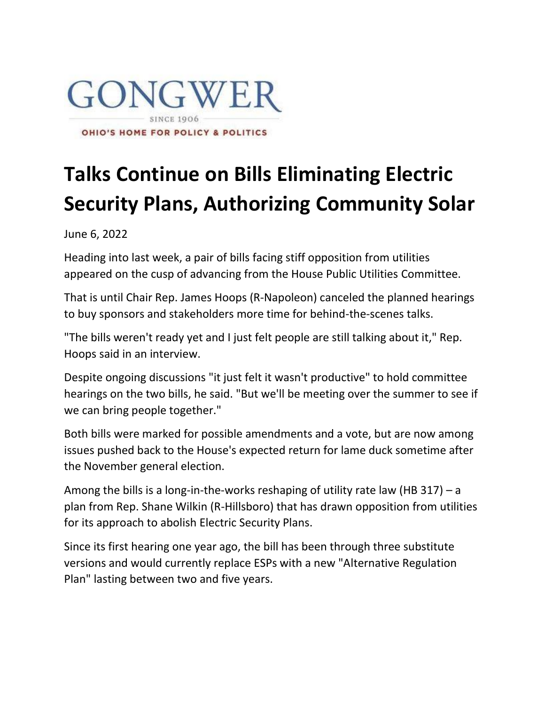

## **Talks Continue on Bills Eliminating Electric Security Plans, Authorizing Community Solar**

June 6, 2022

Heading into last week, a pair of bills facing stiff opposition from utilities appeared on the cusp of advancing from the House Public Utilities Committee.

That is until Chair Rep. James Hoops (R-Napoleon) canceled the planned hearings to buy sponsors and stakeholders more time for behind-the-scenes talks.

"The bills weren't ready yet and I just felt people are still talking about it," Rep. Hoops said in an interview.

Despite ongoing discussions "it just felt it wasn't productive" to hold committee hearings on the two bills, he said. "But we'll be meeting over the summer to see if we can bring people together."

Both bills were marked for possible amendments and a vote, but are now among issues pushed back to the House's expected return for lame duck sometime after the November general election.

Among the bills is a long-in-the-works reshaping of utility rate law (HB 317) – a plan from Rep. Shane Wilkin (R-Hillsboro) that has drawn opposition from utilities for its approach to abolish Electric Security Plans.

Since its first hearing one year ago, the bill has been through three substitute versions and would currently replace ESPs with a new "Alternative Regulation Plan" lasting between two and five years.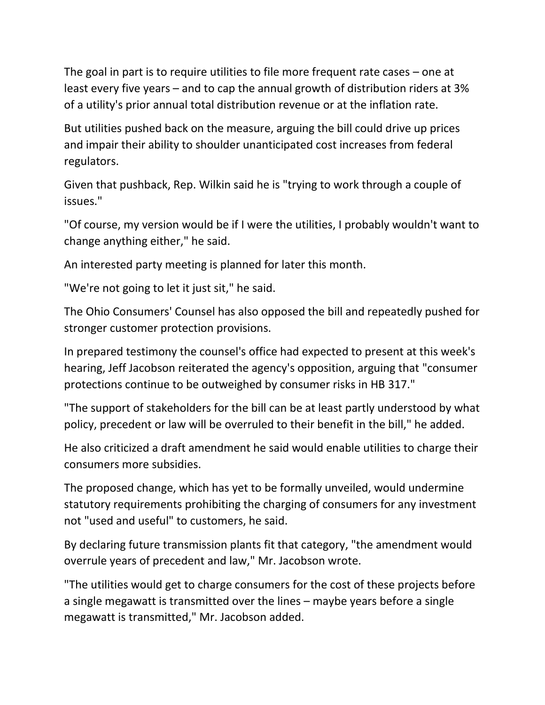The goal in part is to require utilities to file more frequent rate cases – one at least every five years – and to cap the annual growth of distribution riders at 3% of a utility's prior annual total distribution revenue or at the inflation rate.

But utilities pushed back on the measure, arguing the bill could drive up prices and impair their ability to shoulder unanticipated cost increases from federal regulators.

Given that pushback, Rep. Wilkin said he is "trying to work through a couple of issues."

"Of course, my version would be if I were the utilities, I probably wouldn't want to change anything either," he said.

An interested party meeting is planned for later this month.

"We're not going to let it just sit," he said.

The Ohio Consumers' Counsel has also opposed the bill and repeatedly pushed for stronger customer protection provisions.

In prepared testimony the counsel's office had expected to present at this week's hearing, Jeff Jacobson reiterated the agency's opposition, arguing that "consumer protections continue to be outweighed by consumer risks in HB 317."

"The support of stakeholders for the bill can be at least partly understood by what policy, precedent or law will be overruled to their benefit in the bill," he added.

He also criticized a draft amendment he said would enable utilities to charge their consumers more subsidies.

The proposed change, which has yet to be formally unveiled, would undermine statutory requirements prohibiting the charging of consumers for any investment not "used and useful" to customers, he said.

By declaring future transmission plants fit that category, "the amendment would overrule years of precedent and law," Mr. Jacobson wrote.

"The utilities would get to charge consumers for the cost of these projects before a single megawatt is transmitted over the lines – maybe years before a single megawatt is transmitted," Mr. Jacobson added.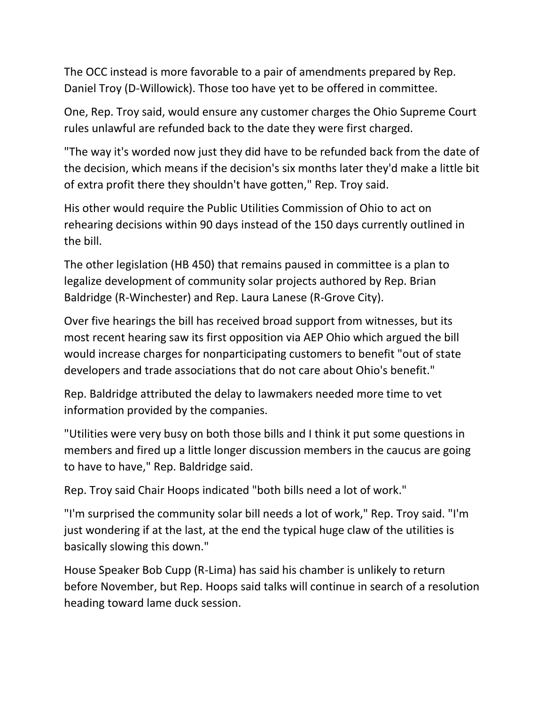The OCC instead is more favorable to a pair of amendments prepared by Rep. Daniel Troy (D-Willowick). Those too have yet to be offered in committee.

One, Rep. Troy said, would ensure any customer charges the Ohio Supreme Court rules unlawful are refunded back to the date they were first charged.

"The way it's worded now just they did have to be refunded back from the date of the decision, which means if the decision's six months later they'd make a little bit of extra profit there they shouldn't have gotten," Rep. Troy said.

His other would require the Public Utilities Commission of Ohio to act on rehearing decisions within 90 days instead of the 150 days currently outlined in the bill.

The other legislation (HB 450) that remains paused in committee is a plan to legalize development of community solar projects authored by Rep. Brian Baldridge (R-Winchester) and Rep. Laura Lanese (R-Grove City).

Over five hearings the bill has received broad support from witnesses, but its most recent hearing saw its first opposition via AEP Ohio which argued the bill would increase charges for nonparticipating customers to benefit "out of state developers and trade associations that do not care about Ohio's benefit."

Rep. Baldridge attributed the delay to lawmakers needed more time to vet information provided by the companies.

"Utilities were very busy on both those bills and I think it put some questions in members and fired up a little longer discussion members in the caucus are going to have to have," Rep. Baldridge said.

Rep. Troy said Chair Hoops indicated "both bills need a lot of work."

"I'm surprised the community solar bill needs a lot of work," Rep. Troy said. "I'm just wondering if at the last, at the end the typical huge claw of the utilities is basically slowing this down."

House Speaker Bob Cupp (R-Lima) has said his chamber is unlikely to return before November, but Rep. Hoops said talks will continue in search of a resolution heading toward lame duck session.